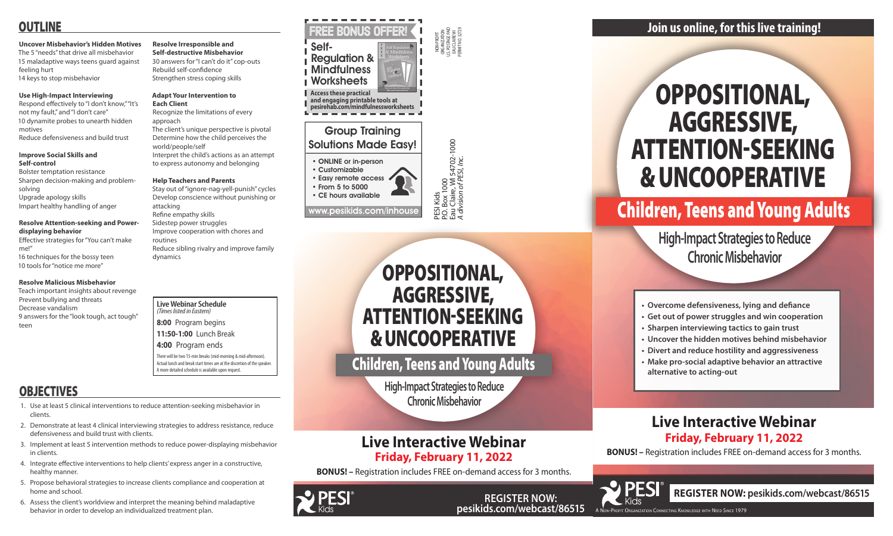**pesikids.com/webcast/86515**

NON-PROFIT ORGANIZATION U.S. POSTAGE PAID EAU CLAIRE WI PERMIT NO. 32729

PESI Kids<br>P.O. Box 1 000<br>Eau Claire, WI 54702-1000<br>*A division of PESI, Inc.* 

P.O. Box 1000

Eau Claire, WI 54702-1000 *A division of PESI, Inc.*

### Group Training Solutions Made Easy!

- ONLINE or in-person
- Customizable
- Easy remote access • From 5 to 5000 • CE hours available

www.pesikids.com/inhous

**Live Webinar Schedule**  *(Times listed in Eastern)* **8:00** Program begins

**11:50-1:00** Lunch Break

**4:00** Program ends

There will be two 15-min breaks (mid-morning & mid-afternoon). Actual lunch and break start times are at the discretion of the speaker. A more detailed schedule is available upon request.

# **OBJECTIVES**







# OPPOSITIONAL, AGGRESSIVE, ATTENTION-SEEKING & UNCOOPERATIVE

# Children, Teens and Young Adults

**High-Impact Strategies to Reduce Chronic Misbehavior**

- **• Overcome defensiveness, lying and defiance**
- **• Get out of power struggles and win cooperation**
- **• Sharpen interviewing tactics to gain trust**
- **• Uncover the hidden motives behind misbehavior**
- **• Divert and reduce hostility and aggressiveness**
- **• Make pro-social adaptive behavior an attractive alternative to acting-out**

### **Join us online, for this live training!**

# **Live Interactive Webinar Friday, February 11, 2022**

**BONUS! –** Registration includes FREE on-demand access for 3 months.

**REGISTER NOW: PESICISTER NOW: <b>PESICISTER NOW: PEGISTER NOW: PEGISTER** NOW:



# Children, Teens and Young Adults

**High-Impact Strategies to Reduce Chronic Misbehavior**

## **Live Interactive Webinar Friday, February 11, 2022**

**BONUS! –** Registration includes FREE on-demand access for 3 months.

**pesirehab.com/mindfulnessworksheets**



# OUTLINE

#### **Uncover Misbehavior's Hidden Motives**

The 5 "needs" that drive all misbehavior 15 maladaptive ways teens guard against feeling hurt 14 keys to stop misbehavior

#### **Use High-Impact Interviewing**

Respond effectively to "I don't know," "It's not my fault," and "I don't care" 10 dynamite probes to unearth hidden motives Reduce defensiveness and build trust

#### **Improve Social Skills and Self-control**

Bolster temptation resistance Sharpen decision-making and problemsolving Upgrade apology skills

Impart healthy handling of anger

#### **Resolve Attention-seeking and Power-**

**displaying behavior** Effective strategies for "You can't make

me!" 16 techniques for the bossy teen 10 tools for "notice me more"

#### **Resolve Malicious Misbehavior**

Teach important insights about revenge Prevent bullying and threats Decrease vandalism 9 answers for the "look tough, act tough" teen

### **Resolve Irresponsible and**

**Self-destructive Misbehavior** 30 answers for "I can't do it" cop-outs Rebuild self-confidence Strengthen stress coping skills

#### **Adapt Your Intervention to Each Client**

Recognize the limitations of every approach

The client's unique perspective is pivotal Determine how the child perceives the world/people/self Interpret the child's actions as an attempt

to express autonomy and belonging

#### **Help Teachers and Parents**

Stay out of "ignore-nag-yell-punish" cycles Develop conscience without punishing or

attacking Refine empathy skills

Sidestep power struggles Improve cooperation with chores and routines Reduce sibling rivalry and improve family

dynamics

- 1. Use at least 5 clinical interventions to reduce attention-seeking misbehavior in clients.
- 2. Demonstrate at least 4 clinical interviewing strategies to address resistance, reduce defensiveness and build trust with clients.
- 3. Implement at least 5 intervention methods to reduce power-displaying misbehavior in clients.
- 4. Integrate effective interventions to help clients' express anger in a constructive, healthy manner.
- 5. Propose behavioral strategies to increase clients compliance and cooperation at home and school.
- 6. Assess the client's worldview and interpret the meaning behind maladaptive behavior in order to develop an individualized treatment plan.